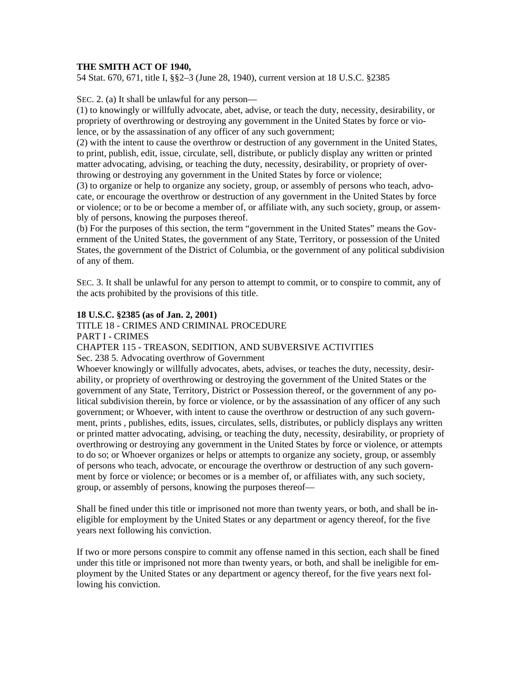## **THE SMITH ACT OF 1940,**

54 Stat. 670, 671, title I, §§2–3 (June 28, 1940), current version at 18 U.S.C. §2385

SEC. 2. (a) It shall be unlawful for any person—

(1) to knowingly or willfully advocate, abet, advise, or teach the duty, necessity, desirability, or propriety of overthrowing or destroying any government in the United States by force or violence, or by the assassination of any officer of any such government;

(2) with the intent to cause the overthrow or destruction of any government in the United States, to print, publish, edit, issue, circulate, sell, distribute, or publicly display any written or printed matter advocating, advising, or teaching the duty, necessity, desirability, or propriety of overthrowing or destroying any government in the United States by force or violence;

(3) to organize or help to organize any society, group, or assembly of persons who teach, advocate, or encourage the overthrow or destruction of any government in the United States by force or violence; or to be or become a member of, or affiliate with, any such society, group, or assembly of persons, knowing the purposes thereof.

(b) For the purposes of this section, the term "government in the United States" means the Government of the United States, the government of any State, Territory, or possession of the United States, the government of the District of Columbia, or the government of any political subdivision of any of them.

SEC. 3. It shall be unlawful for any person to attempt to commit, or to conspire to commit, any of the acts prohibited by the provisions of this title.

## **18 U.S.C. §2385 (as of Jan. 2, 2001)**

## TITLE 18 - CRIMES AND CRIMINAL PROCEDURE

PART I - CRIMES

## CHAPTER 115 - TREASON, SEDITION, AND SUBVERSIVE ACTIVITIES

Sec. 238 5. Advocating overthrow of Government

Whoever knowingly or willfully advocates, abets, advises, or teaches the duty, necessity, desirability, or propriety of overthrowing or destroying the government of the United States or the government of any State, Territory, District or Possession thereof, or the government of any political subdivision therein, by force or violence, or by the assassination of any officer of any such government; or Whoever, with intent to cause the overthrow or destruction of any such government, prints , publishes, edits, issues, circulates, sells, distributes, or publicly displays any written or printed matter advocating, advising, or teaching the duty, necessity, desirability, or propriety of overthrowing or destroying any government in the United States by force or violence, or attempts to do so; or Whoever organizes or helps or attempts to organize any society, group, or assembly of persons who teach, advocate, or encourage the overthrow or destruction of any such government by force or violence; or becomes or is a member of, or affiliates with, any such society, group, or assembly of persons, knowing the purposes thereof—

Shall be fined under this title or imprisoned not more than twenty years, or both, and shall be ineligible for employment by the United States or any department or agency thereof, for the five years next following his conviction.

If two or more persons conspire to commit any offense named in this section, each shall be fined under this title or imprisoned not more than twenty years, or both, and shall be ineligible for employment by the United States or any department or agency thereof, for the five years next following his conviction.